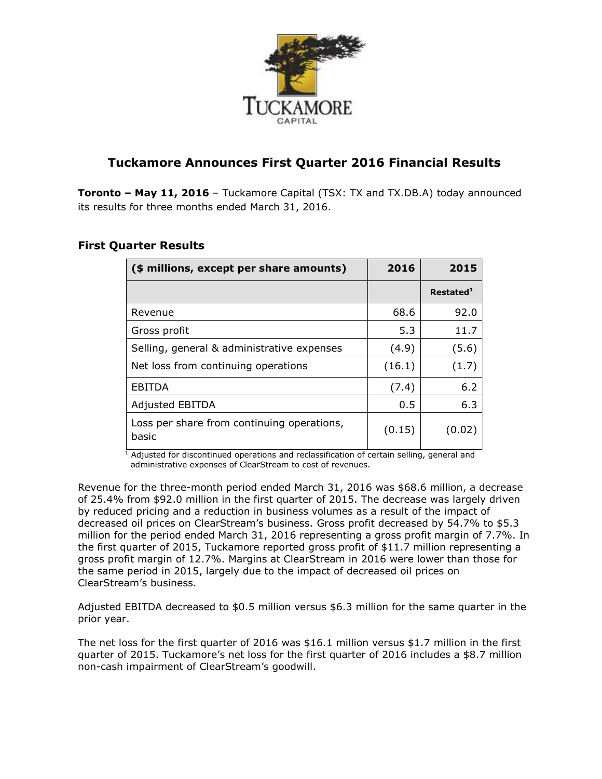

# **Tuckamore Announces First Quarter 2016 Financial Results**

**Toronto – May 11, 2016** – Tuckamore Capital (TSX: TX and TX.DB.A) today announced its results for three months ended March 31, 2016.

| (\$ millions, except per share amounts)             | 2016   | 2015                  |
|-----------------------------------------------------|--------|-----------------------|
|                                                     |        | Restated <sup>1</sup> |
| Revenue                                             | 68.6   | 92.0                  |
| Gross profit                                        | 5.3    | 11.7                  |
| Selling, general & administrative expenses          | (4.9)  | (5.6)                 |
| Net loss from continuing operations                 | (16.1) | (1.7)                 |
| <b>EBITDA</b>                                       | (7.4)  | 6.2                   |
| <b>Adjusted EBITDA</b>                              | 0.5    | 6.3                   |
| Loss per share from continuing operations,<br>basic | (0.15) | (0.02)                |

# **First Quarter Results**

 $\frac{1}{1}$  Adjusted for discontinued operations and reclassification of certain selling, general and administrative expenses of ClearStream to cost of revenues.

Revenue for the three-month period ended March 31, 2016 was \$68.6 million, a decrease of 25.4% from \$92.0 million in the first quarter of 2015. The decrease was largely driven by reduced pricing and a reduction in business volumes as a result of the impact of decreased oil prices on ClearStream's business. Gross profit decreased by 54.7% to \$5.3 million for the period ended March 31, 2016 representing a gross profit margin of 7.7%. In the first quarter of 2015, Tuckamore reported gross profit of \$11.7 million representing a gross profit margin of 12.7%. Margins at ClearStream in 2016 were lower than those for the same period in 2015, largely due to the impact of decreased oil prices on ClearStream's business.

Adjusted EBITDA decreased to \$0.5 million versus \$6.3 million for the same quarter in the prior year.

The net loss for the first quarter of 2016 was \$16.1 million versus \$1.7 million in the first quarter of 2015. Tuckamore's net loss for the first quarter of 2016 includes a \$8.7 million non-cash impairment of ClearStream's goodwill.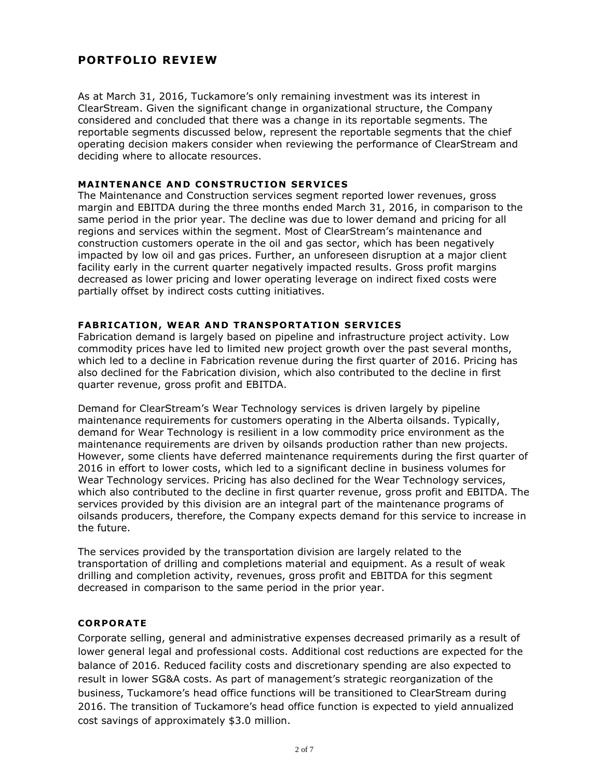# **PORTFOLIO REVIEW**

As at March 31, 2016, Tuckamore's only remaining investment was its interest in ClearStream. Given the significant change in organizational structure, the Company considered and concluded that there was a change in its reportable segments. The reportable segments discussed below, represent the reportable segments that the chief operating decision makers consider when reviewing the performance of ClearStream and deciding where to allocate resources.

## **MAINTENANCE AND CONSTRUCTION SERVICES**

The Maintenance and Construction services segment reported lower revenues, gross margin and EBITDA during the three months ended March 31, 2016, in comparison to the same period in the prior year. The decline was due to lower demand and pricing for all regions and services within the segment. Most of ClearStream's maintenance and construction customers operate in the oil and gas sector, which has been negatively impacted by low oil and gas prices. Further, an unforeseen disruption at a major client facility early in the current quarter negatively impacted results. Gross profit margins decreased as lower pricing and lower operating leverage on indirect fixed costs were partially offset by indirect costs cutting initiatives.

## **FABRICATION, WEAR AND TRANSPORTATION SERVICES**

Fabrication demand is largely based on pipeline and infrastructure project activity. Low commodity prices have led to limited new project growth over the past several months, which led to a decline in Fabrication revenue during the first quarter of 2016. Pricing has also declined for the Fabrication division, which also contributed to the decline in first quarter revenue, gross profit and EBITDA.

Demand for ClearStream's Wear Technology services is driven largely by pipeline maintenance requirements for customers operating in the Alberta oilsands. Typically, demand for Wear Technology is resilient in a low commodity price environment as the maintenance requirements are driven by oilsands production rather than new projects. However, some clients have deferred maintenance requirements during the first quarter of 2016 in effort to lower costs, which led to a significant decline in business volumes for Wear Technology services. Pricing has also declined for the Wear Technology services, which also contributed to the decline in first quarter revenue, gross profit and EBITDA. The services provided by this division are an integral part of the maintenance programs of oilsands producers, therefore, the Company expects demand for this service to increase in the future.

The services provided by the transportation division are largely related to the transportation of drilling and completions material and equipment. As a result of weak drilling and completion activity, revenues, gross profit and EBITDA for this segment decreased in comparison to the same period in the prior year.

## **CORPORATE**

Corporate selling, general and administrative expenses decreased primarily as a result of lower general legal and professional costs. Additional cost reductions are expected for the balance of 2016. Reduced facility costs and discretionary spending are also expected to result in lower SG&A costs. As part of management's strategic reorganization of the business, Tuckamore's head office functions will be transitioned to ClearStream during 2016. The transition of Tuckamore's head office function is expected to yield annualized cost savings of approximately \$3.0 million.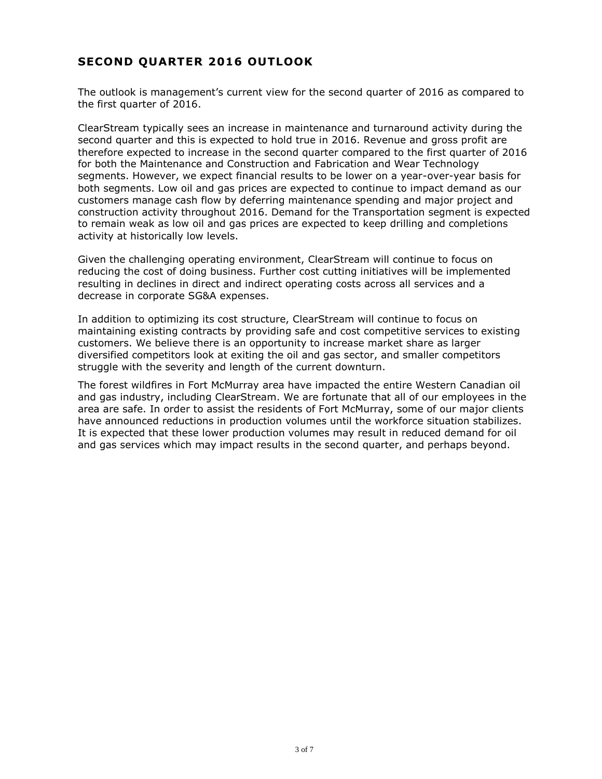# **SECOND QUARTER 2016 OUTLOOK**

The outlook is management's current view for the second quarter of 2016 as compared to the first quarter of 2016.

ClearStream typically sees an increase in maintenance and turnaround activity during the second quarter and this is expected to hold true in 2016. Revenue and gross profit are therefore expected to increase in the second quarter compared to the first quarter of 2016 for both the Maintenance and Construction and Fabrication and Wear Technology segments. However, we expect financial results to be lower on a year-over-year basis for both segments. Low oil and gas prices are expected to continue to impact demand as our customers manage cash flow by deferring maintenance spending and major project and construction activity throughout 2016. Demand for the Transportation segment is expected to remain weak as low oil and gas prices are expected to keep drilling and completions activity at historically low levels.

Given the challenging operating environment, ClearStream will continue to focus on reducing the cost of doing business. Further cost cutting initiatives will be implemented resulting in declines in direct and indirect operating costs across all services and a decrease in corporate SG&A expenses.

In addition to optimizing its cost structure, ClearStream will continue to focus on maintaining existing contracts by providing safe and cost competitive services to existing customers. We believe there is an opportunity to increase market share as larger diversified competitors look at exiting the oil and gas sector, and smaller competitors struggle with the severity and length of the current downturn.

The forest wildfires in Fort McMurray area have impacted the entire Western Canadian oil and gas industry, including ClearStream. We are fortunate that all of our employees in the area are safe. In order to assist the residents of Fort McMurray, some of our major clients have announced reductions in production volumes until the workforce situation stabilizes. It is expected that these lower production volumes may result in reduced demand for oil and gas services which may impact results in the second quarter, and perhaps beyond.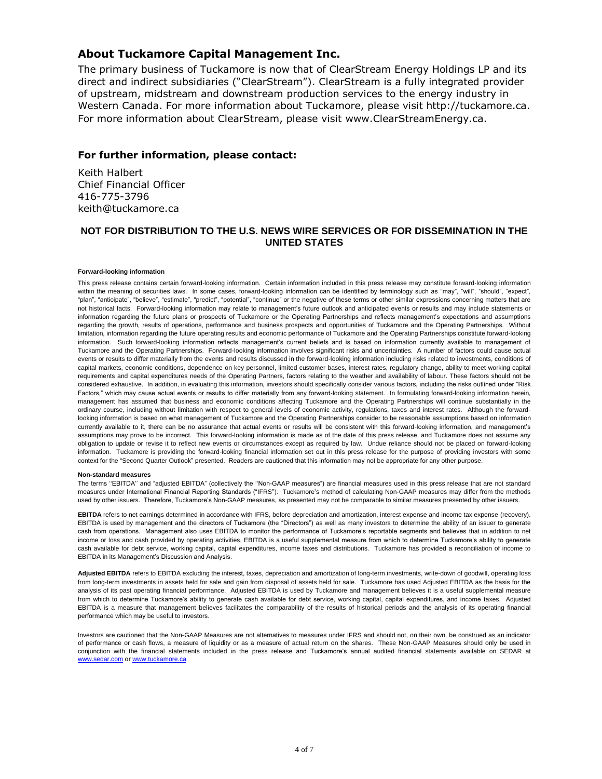## **About Tuckamore Capital Management Inc.**

The primary business of Tuckamore is now that of ClearStream Energy Holdings LP and its direct and indirect subsidiaries ("ClearStream"). ClearStream is a fully integrated provider of upstream, midstream and downstream production services to the energy industry in Western Canada. For more information about Tuckamore, please visit http://tuckamore.ca. For more information about ClearStream, please visit www.ClearStreamEnergy.ca.

### **For further information, please contact:**

Keith Halbert Chief Financial Officer 416-775-3796 keith@tuckamore.ca

### **NOT FOR DISTRIBUTION TO THE U.S. NEWS WIRE SERVICES OR FOR DISSEMINATION IN THE UNITED STATES**

#### **Forward-looking information**

This press release contains certain forward-looking information. Certain information included in this press release may constitute forward-looking information within the meaning of securities laws. In some cases, forward-looking information can be identified by terminology such as "may", "will", "should", "expect", "plan", "anticipate", "believe", "estimate", "predict", "potential", "continue" or the negative of these terms or other similar expressions concerning matters that are not historical facts. Forward-looking information may relate to management's future outlook and anticipated events or results and may include statements or information regarding the future plans or prospects of Tuckamore or the Operating Partnerships and reflects management's expectations and assumptions regarding the growth, results of operations, performance and business prospects and opportunities of Tuckamore and the Operating Partnerships. Without limitation, information regarding the future operating results and economic performance of Tuckamore and the Operating Partnerships constitute forward-looking information. Such forward-looking information reflects management's current beliefs and is based on information currently available to management of Tuckamore and the Operating Partnerships. Forward-looking information involves significant risks and uncertainties. A number of factors could cause actual events or results to differ materially from the events and results discussed in the forward-looking information including risks related to investments, conditions of capital markets, economic conditions, dependence on key personnel, limited customer bases, interest rates, regulatory change, ability to meet working capital requirements and capital expenditures needs of the Operating Partners, factors relating to the weather and availability of labour. These factors should not be considered exhaustive. In addition, in evaluating this information, investors should specifically consider various factors, including the risks outlined under "Risk Factors," which may cause actual events or results to differ materially from any forward-looking statement. In formulating forward-looking information herein, management has assumed that business and economic conditions affecting Tuckamore and the Operating Partnerships will continue substantially in the ordinary course, including without limitation with respect to general levels of economic activity, regulations, taxes and interest rates. Although the forwardlooking information is based on what management of Tuckamore and the Operating Partnerships consider to be reasonable assumptions based on information currently available to it, there can be no assurance that actual events or results will be consistent with this forward-looking information, and management's assumptions may prove to be incorrect. This forward-looking information is made as of the date of this press release, and Tuckamore does not assume any obligation to update or revise it to reflect new events or circumstances except as required by law. Undue reliance should not be placed on forward-looking information. Tuckamore is providing the forward-looking financial information set out in this press release for the purpose of providing investors with some context for the "Second Quarter Outlook" presented. Readers are cautioned that this information may not be appropriate for any other purpose.

#### **Non-standard measures**

The terms ''EBITDA'' and "adjusted EBITDA" (collectively the ''Non-GAAP measures") are financial measures used in this press release that are not standard measures under International Financial Reporting Standards ("IFRS"). Tuckamore's method of calculating Non-GAAP measures may differ from the methods used by other issuers. Therefore, Tuckamore's Non-GAAP measures, as presented may not be comparable to similar measures presented by other issuers.

**EBITDA** refers to net earnings determined in accordance with IFRS, before depreciation and amortization, interest expense and income tax expense (recovery). EBITDA is used by management and the directors of Tuckamore (the "Directors") as well as many investors to determine the ability of an issuer to generate cash from operations. Management also uses EBITDA to monitor the performance of Tuckamore's reportable segments and believes that in addition to net income or loss and cash provided by operating activities, EBITDA is a useful supplemental measure from which to determine Tuckamore's ability to generate cash available for debt service, working capital, capital expenditures, income taxes and distributions. Tuckamore has provided a reconciliation of income to EBITDA in its Management's Discussion and Analysis.

**Adjusted EBITDA** refers to EBITDA excluding the interest, taxes, depreciation and amortization of long-term investments, write-down of goodwill, operating loss from long-term investments in assets held for sale and gain from disposal of assets held for sale. Tuckamore has used Adjusted EBITDA as the basis for the analysis of its past operating financial performance. Adjusted EBITDA is used by Tuckamore and management believes it is a useful supplemental measure from which to determine Tuckamore's ability to generate cash available for debt service, working capital, capital expenditures, and income taxes. Adjusted EBITDA is a measure that management believes facilitates the comparability of the results of historical periods and the analysis of its operating financial performance which may be useful to investors.

Investors are cautioned that the Non-GAAP Measures are not alternatives to measures under IFRS and should not, on their own, be construed as an indicator of performance or cash flows, a measure of liquidity or as a measure of actual return on the shares. These Non-GAAP Measures should only be used in conjunction with the financial statements included in the press release and Tuckamore's annual audited financial statements available on SEDAR at [www.sedar.com](http://www.sedar.com/) or [www.tuckamore.ca](http://www.tuckamore.ca/)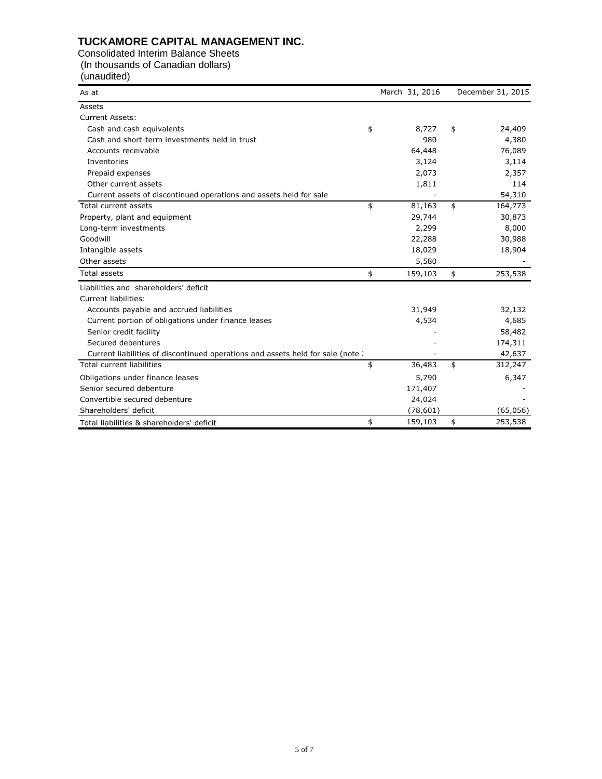# **TUCKAMORE CAPITAL MANAGEMENT INC.**

Consolidated Interim Balance Sheets (In thousands of Canadian dollars)

#### (unaudited)

| As at                                                                          | March 31, 2016 | December 31, 2015 |
|--------------------------------------------------------------------------------|----------------|-------------------|
| Assets                                                                         |                |                   |
| <b>Current Assets:</b>                                                         |                |                   |
| Cash and cash equivalents                                                      | \$<br>8,727    | \$<br>24,409      |
| Cash and short-term investments held in trust                                  | 980            | 4,380             |
| Accounts receivable                                                            | 64,448         | 76,089            |
| Inventories                                                                    | 3,124          | 3,114             |
| Prepaid expenses                                                               | 2,073          | 2,357             |
| Other current assets                                                           | 1,811          | 114               |
| Current assets of discontinued operations and assets held for sale             |                | 54,310            |
| Total current assets                                                           | \$<br>81,163   | \$<br>164,773     |
| Property, plant and equipment                                                  | 29,744         | 30,873            |
| Long-term investments                                                          | 2,299          | 8,000             |
| Goodwill                                                                       | 22,288         | 30,988            |
| Intangible assets                                                              | 18,029         | 18,904            |
| Other assets                                                                   | 5,580          |                   |
| Total assets                                                                   | \$<br>159,103  | \$<br>253,538     |
| Liabilities and shareholders' deficit                                          |                |                   |
| Current liabilities:                                                           |                |                   |
| Accounts payable and accrued liabilities                                       | 31,949         | 32,132            |
| Current portion of obligations under finance leases                            | 4,534          | 4,685             |
| Senior credit facility                                                         |                | 58,482            |
| Secured debentures                                                             |                | 174,311           |
| Current liabilities of discontinued operations and assets held for sale (note) |                | 42,637            |
| <b>Total current liabilities</b>                                               | \$<br>36,483   | \$<br>312,247     |
| Obligations under finance leases                                               | 5,790          | 6,347             |
| Senior secured debenture                                                       | 171,407        |                   |
| Convertible secured debenture                                                  | 24,024         |                   |
| Shareholders' deficit                                                          | (78, 601)      | (65,056)          |
| Total liabilities & shareholders' deficit                                      | \$<br>159,103  | \$<br>253,538     |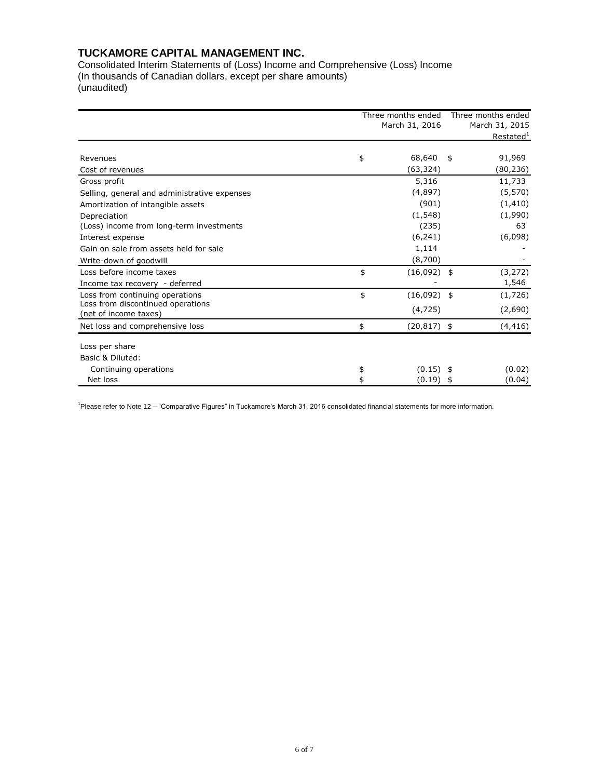## **TUCKAMORE CAPITAL MANAGEMENT INC.**

Consolidated Interim Statements of (Loss) Income and Comprehensive (Loss) Income (In thousands of Canadian dollars, except per share amounts) (unaudited)

|                                                            | Three months ended<br>March 31, 2016 |                |    | Three months ended    |
|------------------------------------------------------------|--------------------------------------|----------------|----|-----------------------|
|                                                            |                                      |                |    | March 31, 2015        |
|                                                            |                                      |                |    | Restated <sup>1</sup> |
| Revenues                                                   | \$                                   | 68,640         | \$ | 91,969                |
| Cost of revenues                                           |                                      | (63,324)       |    | (80,236)              |
| Gross profit                                               |                                      | 5,316          |    | 11,733                |
| Selling, general and administrative expenses               |                                      | (4,897)        |    | (5, 570)              |
| Amortization of intangible assets                          |                                      | (901)          |    | (1, 410)              |
| Depreciation                                               |                                      | (1, 548)       |    | (1,990)               |
| (Loss) income from long-term investments                   |                                      | (235)          |    | 63                    |
| Interest expense                                           |                                      | (6, 241)       |    | (6,098)               |
| Gain on sale from assets held for sale                     |                                      | 1,114          |    |                       |
| Write-down of goodwill                                     |                                      | (8,700)        |    |                       |
| Loss before income taxes                                   | \$                                   | $(16,092)$ \$  |    | (3, 272)              |
| Income tax recovery - deferred                             |                                      |                |    | 1,546                 |
| Loss from continuing operations                            | \$                                   | $(16,092)$ \$  |    | (1,726)               |
| Loss from discontinued operations<br>(net of income taxes) |                                      | (4, 725)       |    | (2,690)               |
| Net loss and comprehensive loss                            | \$                                   | $(20, 817)$ \$ |    | (4, 416)              |
| Loss per share                                             |                                      |                |    |                       |
| Basic & Diluted:                                           |                                      |                |    |                       |
| Continuing operations                                      | \$                                   | $(0.15)$ \$    |    | (0.02)                |
| Net loss                                                   |                                      | (0.19)         | 5  | (0.04)                |

<sup>1</sup>Please refer to Note 12 – "Comparative Figures" in Tuckamore's March 31, 2016 consolidated financial statements for more information.